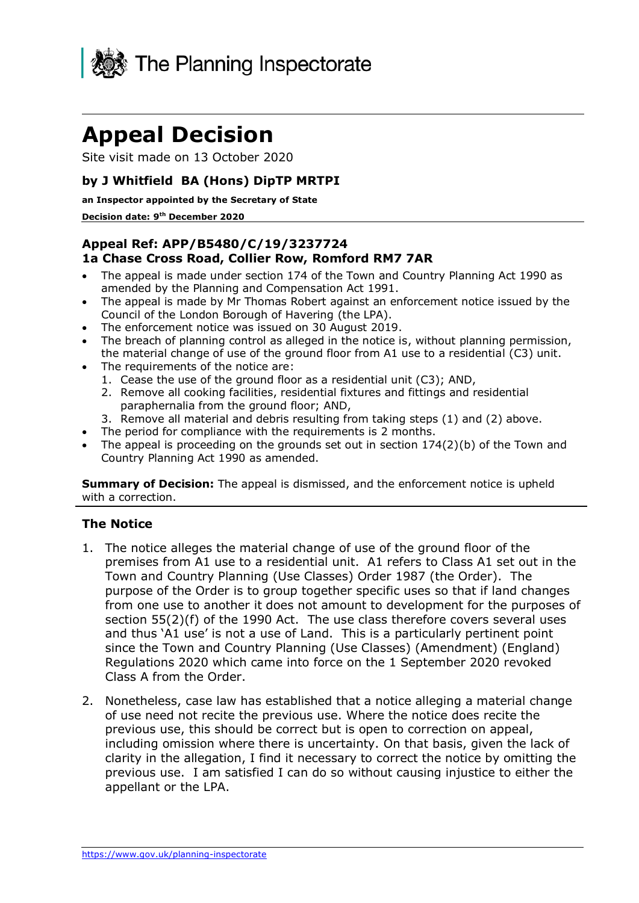

# **Appeal Decision**

Site visit made on 13 October 2020

## **by J Whitfield BA (Hons) DipTP MRTPI**

#### **an Inspector appointed by the Secretary of State**

#### **Decision date: 9th December 2020**

### **Appeal Ref: APP/B5480/C/19/3237724 1a Chase Cross Road, Collier Row, Romford RM7 7AR**

- • The appeal is made under section 174 of the Town and Country Planning Act 1990 as amended by the Planning and Compensation Act 1991.
- • The appeal is made by Mr Thomas Robert against an enforcement notice issued by the Council of the London Borough of Havering (the LPA).
- The enforcement notice was issued on 30 August 2019.
- • The breach of planning control as alleged in the notice is, without planning permission, the material change of use of the ground floor from A1 use to a residential (C3) unit.
- • The requirements of the notice are:
	- 1. Cease the use of the ground floor as a residential unit (C3); AND,
	- 2. Remove all cooking facilities, residential fixtures and fittings and residential paraphernalia from the ground floor; AND,
	- 3. Remove all material and debris resulting from taking steps (1) and (2) above.
- The period for compliance with the requirements is 2 months.
- • The appeal is proceeding on the grounds set out in section 174(2)(b) of the Town and Country Planning Act 1990 as amended.

 **Summary of Decision:** The appeal is dismissed, and the enforcement notice is upheld with a correction.

#### **The Notice**

- 1. The notice alleges the material change of use of the ground floor of the premises from A1 use to a residential unit. A1 refers to Class A1 set out in the Town and Country Planning (Use Classes) Order 1987 (the Order). The purpose of the Order is to group together specific uses so that if land changes from one use to another it does not amount to development for the purposes of section 55(2)(f) of the 1990 Act. The use class therefore covers several uses and thus 'A1 use' is not a use of Land. This is a particularly pertinent point since the Town and Country Planning (Use Classes) (Amendment) (England) Regulations 2020 which came into force on the 1 September 2020 revoked Class A from the Order.
- 2. Nonetheless, case law has established that a notice alleging a material change of use need not recite the previous use. Where the notice does recite the previous use, this should be correct but is open to correction on appeal, including omission where there is uncertainty. On that basis, given the lack of clarity in the allegation, I find it necessary to correct the notice by omitting the previous use. I am satisfied I can do so without causing injustice to either the appellant or the LPA.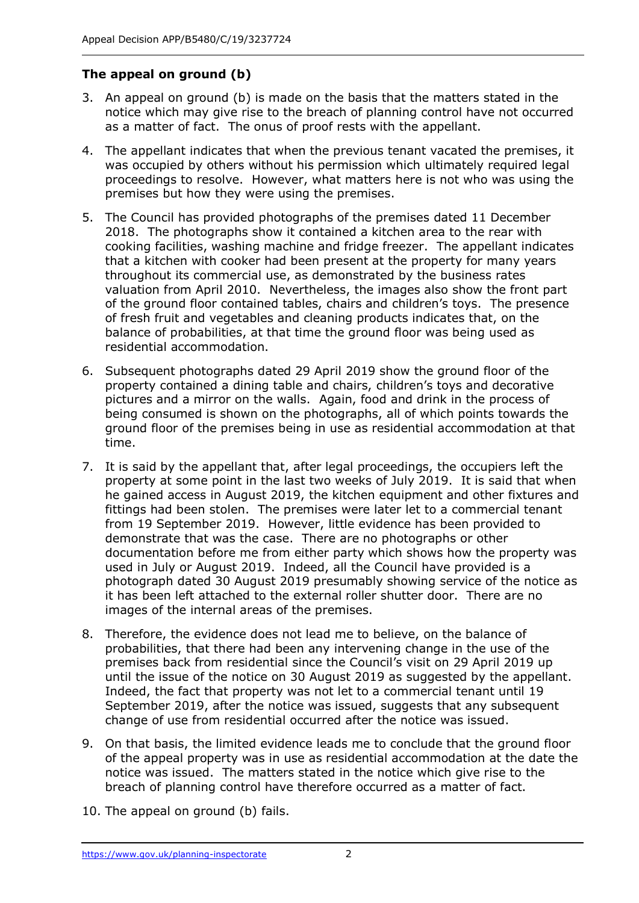# **The appeal on ground (b)**

- 3. An appeal on ground (b) is made on the basis that the matters stated in the notice which may give rise to the breach of planning control have not occurred as a matter of fact. The onus of proof rests with the appellant.
- 4. The appellant indicates that when the previous tenant vacated the premises, it was occupied by others without his permission which ultimately required legal proceedings to resolve. However, what matters here is not who was using the premises but how they were using the premises.
- 5. The Council has provided photographs of the premises dated 11 December 2018. The photographs show it contained a kitchen area to the rear with cooking facilities, washing machine and fridge freezer. The appellant indicates that a kitchen with cooker had been present at the property for many years throughout its commercial use, as demonstrated by the business rates valuation from April 2010. Nevertheless, the images also show the front part of the ground floor contained tables, chairs and children's toys. The presence balance of probabilities, at that time the ground floor was being used as of fresh fruit and vegetables and cleaning products indicates that, on the residential accommodation.
- 6. Subsequent photographs dated 29 April 2019 show the ground floor of the property contained a dining table and chairs, children's toys and decorative pictures and a mirror on the walls. Again, food and drink in the process of ground floor of the premises being in use as residential accommodation at that being consumed is shown on the photographs, all of which points towards the time.
- 7. It is said by the appellant that, after legal proceedings, the occupiers left the property at some point in the last two weeks of July 2019. It is said that when he gained access in August 2019, the kitchen equipment and other fixtures and fittings had been stolen. The premises were later let to a commercial tenant from 19 September 2019. However, little evidence has been provided to demonstrate that was the case. There are no photographs or other documentation before me from either party which shows how the property was used in July or August 2019. Indeed, all the Council have provided is a photograph dated 30 August 2019 presumably showing service of the notice as it has been left attached to the external roller shutter door. There are no images of the internal areas of the premises.
- 8. Therefore, the evidence does not lead me to believe, on the balance of probabilities, that there had been any intervening change in the use of the premises back from residential since the Council's visit on 29 April 2019 up until the issue of the notice on 30 August 2019 as suggested by the appellant. Indeed, the fact that property was not let to a commercial tenant until 19 September 2019, after the notice was issued, suggests that any subsequent change of use from residential occurred after the notice was issued.
- 9. On that basis, the limited evidence leads me to conclude that the ground floor of the appeal property was in use as residential accommodation at the date the notice was issued. The matters stated in the notice which give rise to the breach of planning control have therefore occurred as a matter of fact.
- 10. The appeal on ground (b) fails.